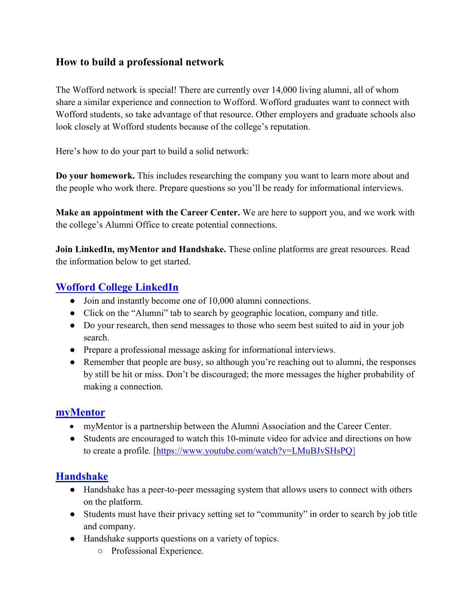## **How to build a professional network**

The Wofford network is special! There are currently over 14,000 living alumni, all of whom share a similar experience and connection to Wofford. Wofford graduates want to connect with Wofford students, so take advantage of that resource. Other employers and graduate schools also look closely at Wofford students because of the college's reputation.

Here's how to do your part to build a solid network:

**Do your homework.** This includes researching the company you want to learn more about and the people who work there. Prepare questions so you'll be ready for informational interviews.

**Make an appointment with the Career Center.** We are here to support you, and we work with the college's Alumni Office to create potential connections.

**Join LinkedIn, myMentor and Handshake.** These online platforms are great resources. Read the information below to get started.

# **[Wofford College LinkedIn](https://www.linkedin.com/school/wofford-college/)**

- Join and instantly become one of 10,000 alumni connections.
- Click on the "Alumni" tab to search by geographic location, company and title.
- Do your research, then send messages to those who seem best suited to aid in your job search.
- Prepare a professional message asking for informational interviews.
- Remember that people are busy, so although you're reaching out to alumni, the responses by still be hit or miss. Don't be discouraged; the more messages the higher probability of making a connection.

## **[myMentor](https://wofford.firsthand.co/)**

- myMentor is a partnership between the Alumni Association and the Career Center.
- Students are encouraged to watch this 10-minute video for advice and directions on how to create a profile. [\[https://www.youtube.com/watch?v=LMuBJvSHsPQ\]](https://www.youtube.com/watch?v=LMuBJvSHsPQ)

## **[Handshake](https://wofford.joinhandshake.com/login)**

- Handshake has a peer-to-peer messaging system that allows users to connect with others on the platform.
- Students must have their privacy setting set to "community" in order to search by job title and company.
- Handshake supports questions on a variety of topics.
	- Professional Experience.